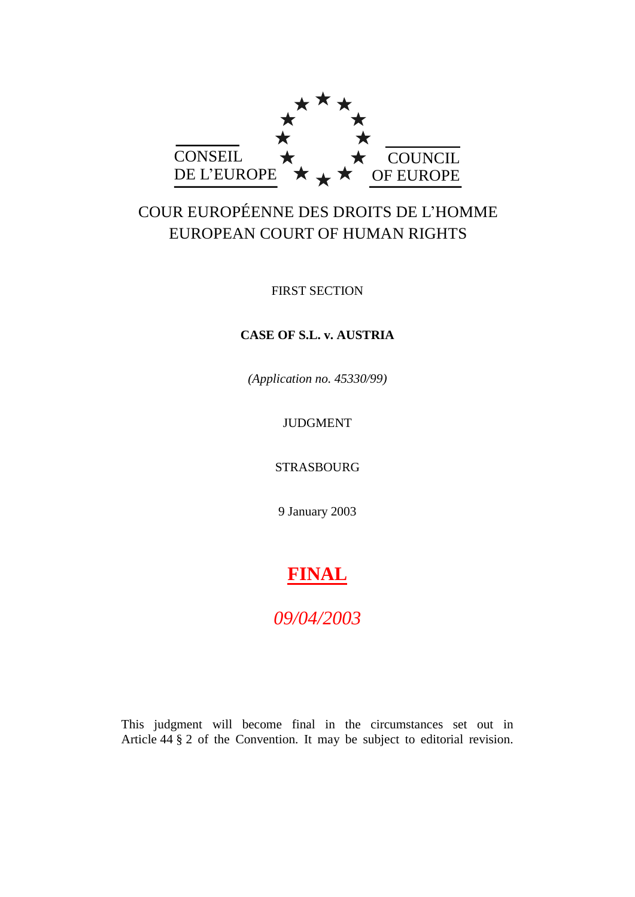

# COUR EUROPÉENNE DES DROITS DE L'HOMME EUROPEAN COURT OF HUMAN RIGHTS

FIRST SECTION

## **CASE OF S.L. v. AUSTRIA**

*(Application no. 45330/99)*

## JUDGMENT

STRASBOURG

9 January 2003

# **FINAL**

*09/04/2003*

This judgment will become final in the circumstances set out in Article 44 § 2 of the Convention. It may be subject to editorial revision.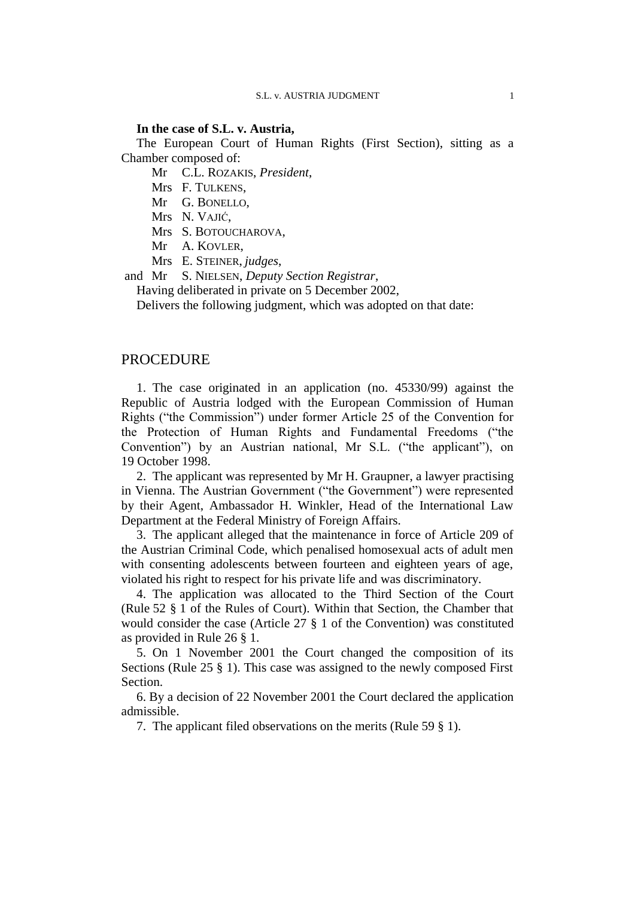#### **In the case of S.L. v. Austria,**

The European Court of Human Rights (First Section), sitting as a Chamber composed of:

Mr C.L. ROZAKIS, *President*,

Mrs F. TULKENS,

Mr G. BONELLO,

Mrs N. VAJIĆ,

Mrs S. BOTOUCHAROVA,

Mr A. KOVLER,

Mrs E. STEINER, *judges*,

and Mr S. NIELSEN, *Deputy Section Registrar*,

Having deliberated in private on 5 December 2002,

Delivers the following judgment, which was adopted on that date:

## PROCEDURE

1. The case originated in an application (no. 45330/99) against the Republic of Austria lodged with the European Commission of Human Rights ("the Commission") under former Article 25 of the Convention for the Protection of Human Rights and Fundamental Freedoms ("the Convention") by an Austrian national, Mr S.L. ("the applicant"), on 19 October 1998.

2. The applicant was represented by Mr H. Graupner, a lawyer practising in Vienna. The Austrian Government ("the Government") were represented by their Agent, Ambassador H. Winkler, Head of the International Law Department at the Federal Ministry of Foreign Affairs.

3. The applicant alleged that the maintenance in force of Article 209 of the Austrian Criminal Code, which penalised homosexual acts of adult men with consenting adolescents between fourteen and eighteen years of age, violated his right to respect for his private life and was discriminatory.

4. The application was allocated to the Third Section of the Court (Rule 52 § 1 of the Rules of Court). Within that Section, the Chamber that would consider the case (Article 27 § 1 of the Convention) was constituted as provided in Rule 26 § 1.

5. On 1 November 2001 the Court changed the composition of its Sections (Rule 25 § 1). This case was assigned to the newly composed First Section.

6. By a decision of 22 November 2001 the Court declared the application admissible.

7. The applicant filed observations on the merits (Rule 59 § 1).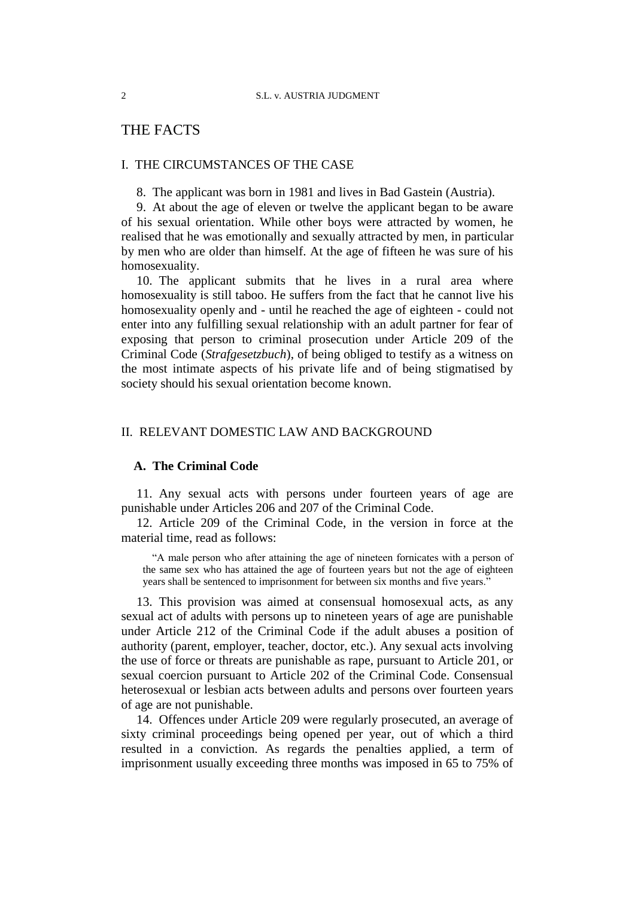# THE FACTS

#### I. THE CIRCUMSTANCES OF THE CASE

8. The applicant was born in 1981 and lives in Bad Gastein (Austria).

9. At about the age of eleven or twelve the applicant began to be aware of his sexual orientation. While other boys were attracted by women, he realised that he was emotionally and sexually attracted by men, in particular by men who are older than himself. At the age of fifteen he was sure of his homosexuality.

10. The applicant submits that he lives in a rural area where homosexuality is still taboo. He suffers from the fact that he cannot live his homosexuality openly and - until he reached the age of eighteen - could not enter into any fulfilling sexual relationship with an adult partner for fear of exposing that person to criminal prosecution under Article 209 of the Criminal Code (*Strafgesetzbuch*), of being obliged to testify as a witness on the most intimate aspects of his private life and of being stigmatised by society should his sexual orientation become known.

#### II. RELEVANT DOMESTIC LAW AND BACKGROUND

### **A. The Criminal Code**

11. Any sexual acts with persons under fourteen years of age are punishable under Articles 206 and 207 of the Criminal Code.

12. Article 209 of the Criminal Code, in the version in force at the material time, read as follows:

"A male person who after attaining the age of nineteen fornicates with a person of the same sex who has attained the age of fourteen years but not the age of eighteen years shall be sentenced to imprisonment for between six months and five years."

13. This provision was aimed at consensual homosexual acts, as any sexual act of adults with persons up to nineteen years of age are punishable under Article 212 of the Criminal Code if the adult abuses a position of authority (parent, employer, teacher, doctor, etc.). Any sexual acts involving the use of force or threats are punishable as rape, pursuant to Article 201, or sexual coercion pursuant to Article 202 of the Criminal Code. Consensual heterosexual or lesbian acts between adults and persons over fourteen years of age are not punishable.

14. Offences under Article 209 were regularly prosecuted, an average of sixty criminal proceedings being opened per year, out of which a third resulted in a conviction. As regards the penalties applied, a term of imprisonment usually exceeding three months was imposed in 65 to 75% of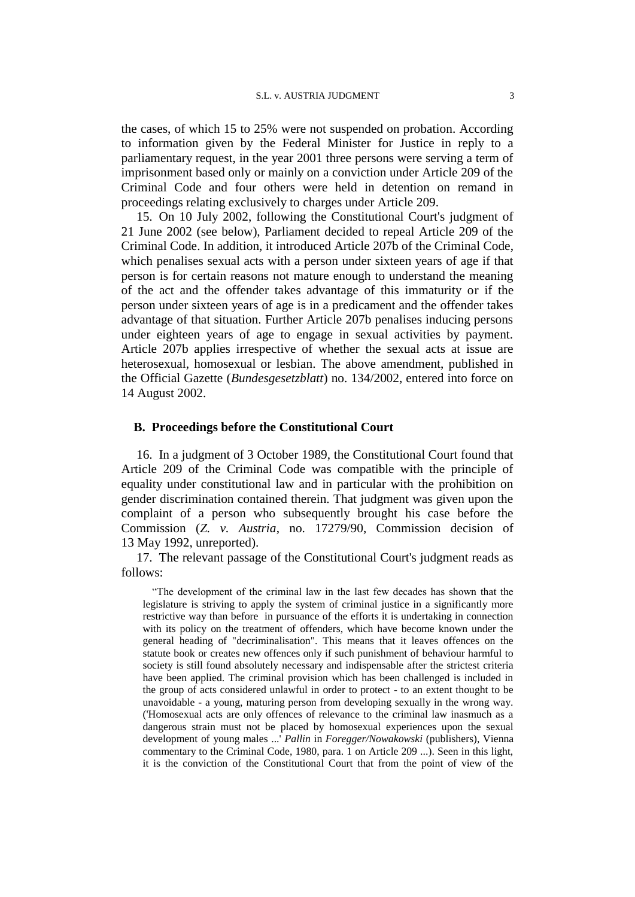the cases, of which 15 to 25% were not suspended on probation. According to information given by the Federal Minister for Justice in reply to a parliamentary request, in the year 2001 three persons were serving a term of imprisonment based only or mainly on a conviction under Article 209 of the Criminal Code and four others were held in detention on remand in proceedings relating exclusively to charges under Article 209.

15. On 10 July 2002, following the Constitutional Court's judgment of 21 June 2002 (see below), Parliament decided to repeal Article 209 of the Criminal Code. In addition, it introduced Article 207b of the Criminal Code, which penalises sexual acts with a person under sixteen years of age if that person is for certain reasons not mature enough to understand the meaning of the act and the offender takes advantage of this immaturity or if the person under sixteen years of age is in a predicament and the offender takes advantage of that situation. Further Article 207b penalises inducing persons under eighteen years of age to engage in sexual activities by payment. Article 207b applies irrespective of whether the sexual acts at issue are heterosexual, homosexual or lesbian. The above amendment, published in the Official Gazette (*Bundesgesetzblatt*) no. 134/2002, entered into force on 14 August 2002.

#### **B. Proceedings before the Constitutional Court**

16. In a judgment of 3 October 1989, the Constitutional Court found that Article 209 of the Criminal Code was compatible with the principle of equality under constitutional law and in particular with the prohibition on gender discrimination contained therein. That judgment was given upon the complaint of a person who subsequently brought his case before the Commission (*Z. v. Austria*, no. 17279/90, Commission decision of 13 May 1992, unreported).

17. The relevant passage of the Constitutional Court's judgment reads as follows:

"The development of the criminal law in the last few decades has shown that the legislature is striving to apply the system of criminal justice in a significantly more restrictive way than before in pursuance of the efforts it is undertaking in connection with its policy on the treatment of offenders, which have become known under the general heading of "decriminalisation". This means that it leaves offences on the statute book or creates new offences only if such punishment of behaviour harmful to society is still found absolutely necessary and indispensable after the strictest criteria have been applied. The criminal provision which has been challenged is included in the group of acts considered unlawful in order to protect - to an extent thought to be unavoidable - a young, maturing person from developing sexually in the wrong way. ('Homosexual acts are only offences of relevance to the criminal law inasmuch as a dangerous strain must not be placed by homosexual experiences upon the sexual development of young males ...' *Pallin* in *Foregger/Nowakowski* (publishers), Vienna commentary to the Criminal Code, 1980, para. 1 on Article 209 ...). Seen in this light, it is the conviction of the Constitutional Court that from the point of view of the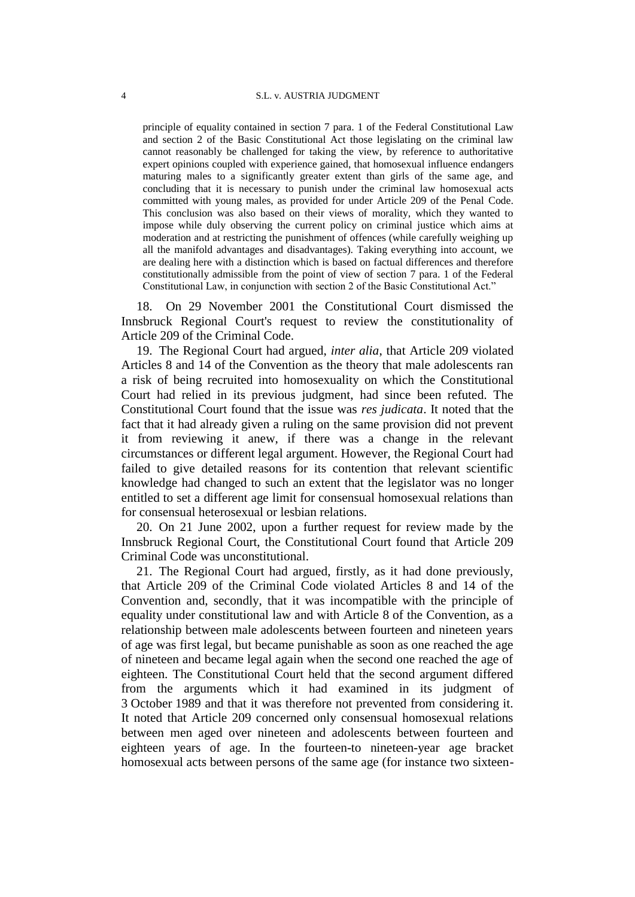principle of equality contained in section 7 para. 1 of the Federal Constitutional Law and section 2 of the Basic Constitutional Act those legislating on the criminal law cannot reasonably be challenged for taking the view, by reference to authoritative expert opinions coupled with experience gained, that homosexual influence endangers maturing males to a significantly greater extent than girls of the same age, and concluding that it is necessary to punish under the criminal law homosexual acts committed with young males, as provided for under Article 209 of the Penal Code. This conclusion was also based on their views of morality, which they wanted to impose while duly observing the current policy on criminal justice which aims at moderation and at restricting the punishment of offences (while carefully weighing up all the manifold advantages and disadvantages). Taking everything into account, we are dealing here with a distinction which is based on factual differences and therefore constitutionally admissible from the point of view of section 7 para. 1 of the Federal Constitutional Law, in conjunction with section 2 of the Basic Constitutional Act."

18. On 29 November 2001 the Constitutional Court dismissed the Innsbruck Regional Court's request to review the constitutionality of Article 209 of the Criminal Code.

19. The Regional Court had argued, *inter alia*, that Article 209 violated Articles 8 and 14 of the Convention as the theory that male adolescents ran a risk of being recruited into homosexuality on which the Constitutional Court had relied in its previous judgment, had since been refuted. The Constitutional Court found that the issue was *res judicata*. It noted that the fact that it had already given a ruling on the same provision did not prevent it from reviewing it anew, if there was a change in the relevant circumstances or different legal argument. However, the Regional Court had failed to give detailed reasons for its contention that relevant scientific knowledge had changed to such an extent that the legislator was no longer entitled to set a different age limit for consensual homosexual relations than for consensual heterosexual or lesbian relations.

20. On 21 June 2002, upon a further request for review made by the Innsbruck Regional Court, the Constitutional Court found that Article 209 Criminal Code was unconstitutional.

21. The Regional Court had argued, firstly, as it had done previously, that Article 209 of the Criminal Code violated Articles 8 and 14 of the Convention and, secondly, that it was incompatible with the principle of equality under constitutional law and with Article 8 of the Convention, as a relationship between male adolescents between fourteen and nineteen years of age was first legal, but became punishable as soon as one reached the age of nineteen and became legal again when the second one reached the age of eighteen. The Constitutional Court held that the second argument differed from the arguments which it had examined in its judgment of 3 October 1989 and that it was therefore not prevented from considering it. It noted that Article 209 concerned only consensual homosexual relations between men aged over nineteen and adolescents between fourteen and eighteen years of age. In the fourteen-to nineteen-year age bracket homosexual acts between persons of the same age (for instance two sixteen-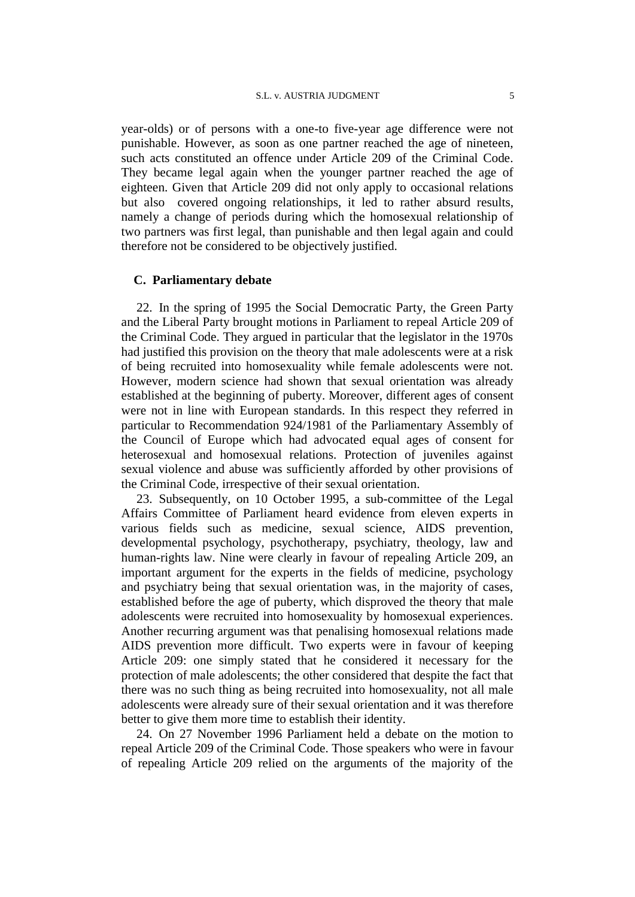#### S.L. v. AUSTRIA JUDGMENT 5

year-olds) or of persons with a one-to five-year age difference were not punishable. However, as soon as one partner reached the age of nineteen, such acts constituted an offence under Article 209 of the Criminal Code. They became legal again when the younger partner reached the age of eighteen. Given that Article 209 did not only apply to occasional relations but also covered ongoing relationships, it led to rather absurd results, namely a change of periods during which the homosexual relationship of two partners was first legal, than punishable and then legal again and could therefore not be considered to be objectively justified.

#### **C. Parliamentary debate**

22. In the spring of 1995 the Social Democratic Party, the Green Party and the Liberal Party brought motions in Parliament to repeal Article 209 of the Criminal Code. They argued in particular that the legislator in the 1970s had justified this provision on the theory that male adolescents were at a risk of being recruited into homosexuality while female adolescents were not. However, modern science had shown that sexual orientation was already established at the beginning of puberty. Moreover, different ages of consent were not in line with European standards. In this respect they referred in particular to Recommendation 924/1981 of the Parliamentary Assembly of the Council of Europe which had advocated equal ages of consent for heterosexual and homosexual relations. Protection of juveniles against sexual violence and abuse was sufficiently afforded by other provisions of the Criminal Code, irrespective of their sexual orientation.

23. Subsequently, on 10 October 1995, a sub-committee of the Legal Affairs Committee of Parliament heard evidence from eleven experts in various fields such as medicine, sexual science, AIDS prevention, developmental psychology, psychotherapy, psychiatry, theology, law and human-rights law. Nine were clearly in favour of repealing Article 209, an important argument for the experts in the fields of medicine, psychology and psychiatry being that sexual orientation was, in the majority of cases, established before the age of puberty, which disproved the theory that male adolescents were recruited into homosexuality by homosexual experiences. Another recurring argument was that penalising homosexual relations made AIDS prevention more difficult. Two experts were in favour of keeping Article 209: one simply stated that he considered it necessary for the protection of male adolescents; the other considered that despite the fact that there was no such thing as being recruited into homosexuality, not all male adolescents were already sure of their sexual orientation and it was therefore better to give them more time to establish their identity.

24. On 27 November 1996 Parliament held a debate on the motion to repeal Article 209 of the Criminal Code. Those speakers who were in favour of repealing Article 209 relied on the arguments of the majority of the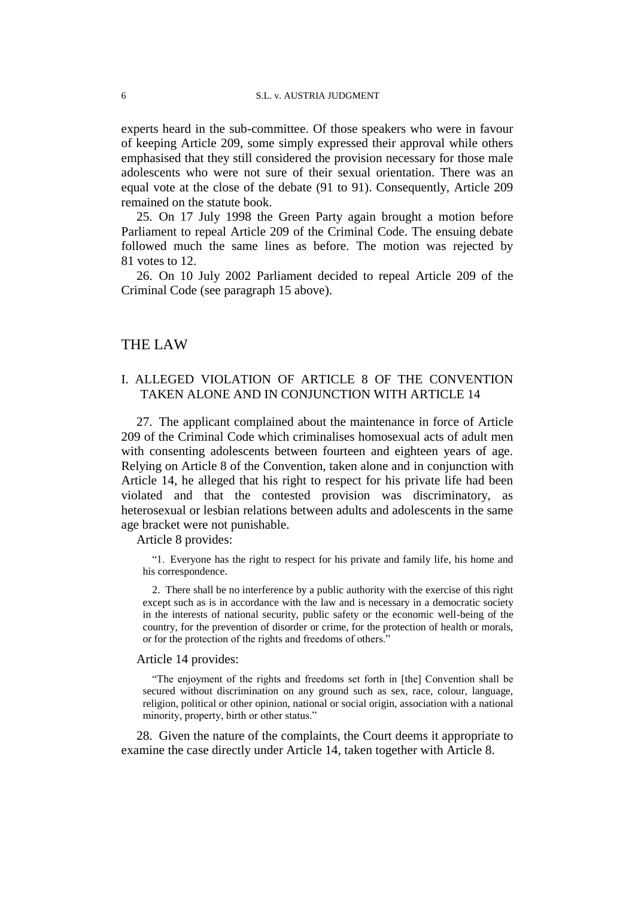experts heard in the sub-committee. Of those speakers who were in favour of keeping Article 209, some simply expressed their approval while others emphasised that they still considered the provision necessary for those male adolescents who were not sure of their sexual orientation. There was an equal vote at the close of the debate (91 to 91). Consequently, Article 209 remained on the statute book.

25. On 17 July 1998 the Green Party again brought a motion before Parliament to repeal Article 209 of the Criminal Code. The ensuing debate followed much the same lines as before. The motion was rejected by 81 votes to 12.

26. On 10 July 2002 Parliament decided to repeal Article 209 of the Criminal Code (see paragraph 15 above).

#### THE LAW

## I. ALLEGED VIOLATION OF ARTICLE 8 OF THE CONVENTION TAKEN ALONE AND IN CONJUNCTION WITH ARTICLE 14

27. The applicant complained about the maintenance in force of Article 209 of the Criminal Code which criminalises homosexual acts of adult men with consenting adolescents between fourteen and eighteen years of age. Relying on Article 8 of the Convention, taken alone and in conjunction with Article 14, he alleged that his right to respect for his private life had been violated and that the contested provision was discriminatory, as heterosexual or lesbian relations between adults and adolescents in the same age bracket were not punishable.

Article 8 provides:

"1. Everyone has the right to respect for his private and family life, his home and his correspondence.

2. There shall be no interference by a public authority with the exercise of this right except such as is in accordance with the law and is necessary in a democratic society in the interests of national security, public safety or the economic well-being of the country, for the prevention of disorder or crime, for the protection of health or morals, or for the protection of the rights and freedoms of others."

#### Article 14 provides:

"The enjoyment of the rights and freedoms set forth in [the] Convention shall be secured without discrimination on any ground such as sex, race, colour, language, religion, political or other opinion, national or social origin, association with a national minority, property, birth or other status."

28. Given the nature of the complaints, the Court deems it appropriate to examine the case directly under Article 14, taken together with Article 8.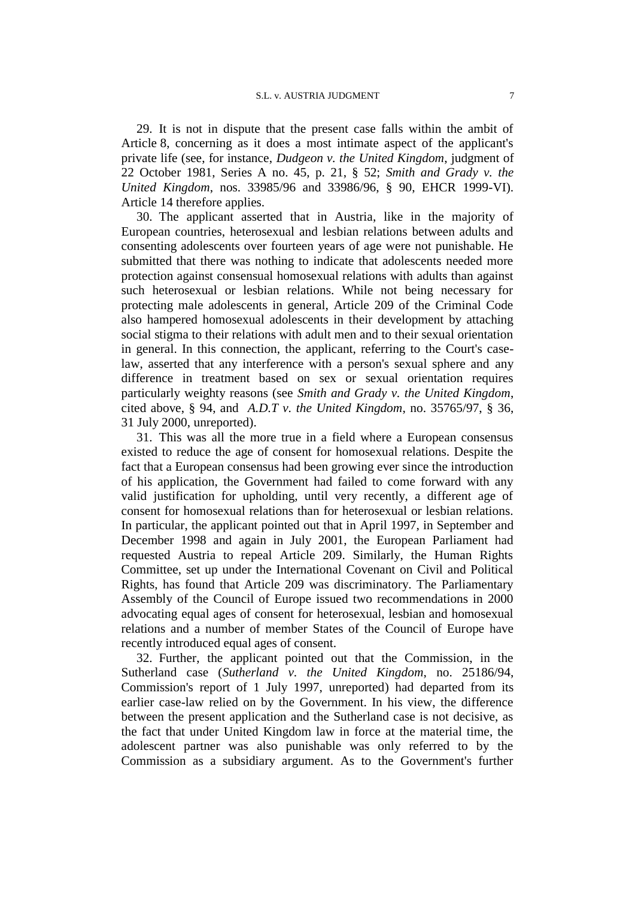29. It is not in dispute that the present case falls within the ambit of Article 8, concerning as it does a most intimate aspect of the applicant's private life (see, for instance, *Dudgeon v. the United Kingdom*, judgment of 22 October 1981, Series A no. 45, p. 21, § 52; *Smith and Grady v. the United Kingdom*, nos. 33985/96 and 33986/96, § 90, EHCR 1999-VI). Article 14 therefore applies.

30. The applicant asserted that in Austria, like in the majority of European countries, heterosexual and lesbian relations between adults and consenting adolescents over fourteen years of age were not punishable. He submitted that there was nothing to indicate that adolescents needed more protection against consensual homosexual relations with adults than against such heterosexual or lesbian relations. While not being necessary for protecting male adolescents in general, Article 209 of the Criminal Code also hampered homosexual adolescents in their development by attaching social stigma to their relations with adult men and to their sexual orientation in general. In this connection, the applicant, referring to the Court's caselaw, asserted that any interference with a person's sexual sphere and any difference in treatment based on sex or sexual orientation requires particularly weighty reasons (see *Smith and Grady v. the United Kingdom*, cited above, § 94, and *A.D.T v. the United Kingdom*, no. 35765/97, § 36, 31 July 2000, unreported).

31. This was all the more true in a field where a European consensus existed to reduce the age of consent for homosexual relations. Despite the fact that a European consensus had been growing ever since the introduction of his application, the Government had failed to come forward with any valid justification for upholding, until very recently, a different age of consent for homosexual relations than for heterosexual or lesbian relations. In particular, the applicant pointed out that in April 1997, in September and December 1998 and again in July 2001, the European Parliament had requested Austria to repeal Article 209. Similarly, the Human Rights Committee, set up under the International Covenant on Civil and Political Rights, has found that Article 209 was discriminatory. The Parliamentary Assembly of the Council of Europe issued two recommendations in 2000 advocating equal ages of consent for heterosexual, lesbian and homosexual relations and a number of member States of the Council of Europe have recently introduced equal ages of consent.

32. Further, the applicant pointed out that the Commission, in the Sutherland case (*Sutherland v. the United Kingdom*, no. 25186/94, Commission's report of 1 July 1997, unreported) had departed from its earlier case-law relied on by the Government. In his view, the difference between the present application and the Sutherland case is not decisive, as the fact that under United Kingdom law in force at the material time, the adolescent partner was also punishable was only referred to by the Commission as a subsidiary argument. As to the Government's further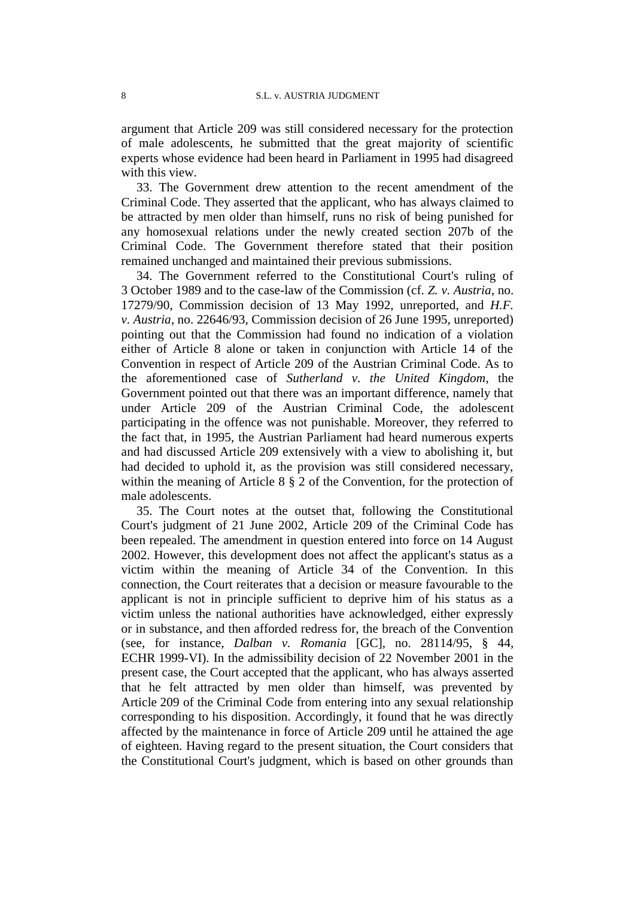argument that Article 209 was still considered necessary for the protection of male adolescents, he submitted that the great majority of scientific experts whose evidence had been heard in Parliament in 1995 had disagreed with this view.

33. The Government drew attention to the recent amendment of the Criminal Code. They asserted that the applicant, who has always claimed to be attracted by men older than himself, runs no risk of being punished for any homosexual relations under the newly created section 207b of the Criminal Code. The Government therefore stated that their position remained unchanged and maintained their previous submissions.

34. The Government referred to the Constitutional Court's ruling of 3 October 1989 and to the case-law of the Commission (cf. *Z. v. Austria*, no. 17279/90, Commission decision of 13 May 1992, unreported, and *H.F. v. Austria*, no. 22646/93, Commission decision of 26 June 1995, unreported) pointing out that the Commission had found no indication of a violation either of Article 8 alone or taken in conjunction with Article 14 of the Convention in respect of Article 209 of the Austrian Criminal Code. As to the aforementioned case of *Sutherland v. the United Kingdom*, the Government pointed out that there was an important difference, namely that under Article 209 of the Austrian Criminal Code, the adolescent participating in the offence was not punishable. Moreover, they referred to the fact that, in 1995, the Austrian Parliament had heard numerous experts and had discussed Article 209 extensively with a view to abolishing it, but had decided to uphold it, as the provision was still considered necessary, within the meaning of Article 8 § 2 of the Convention, for the protection of male adolescents.

35. The Court notes at the outset that, following the Constitutional Court's judgment of 21 June 2002, Article 209 of the Criminal Code has been repealed. The amendment in question entered into force on 14 August 2002. However, this development does not affect the applicant's status as a victim within the meaning of Article 34 of the Convention. In this connection, the Court reiterates that a decision or measure favourable to the applicant is not in principle sufficient to deprive him of his status as a victim unless the national authorities have acknowledged, either expressly or in substance, and then afforded redress for, the breach of the Convention (see, for instance, *Dalban v. Romania* [GC], no. 28114/95, § 44, ECHR 1999-VI). In the admissibility decision of 22 November 2001 in the present case, the Court accepted that the applicant, who has always asserted that he felt attracted by men older than himself, was prevented by Article 209 of the Criminal Code from entering into any sexual relationship corresponding to his disposition. Accordingly, it found that he was directly affected by the maintenance in force of Article 209 until he attained the age of eighteen. Having regard to the present situation, the Court considers that the Constitutional Court's judgment, which is based on other grounds than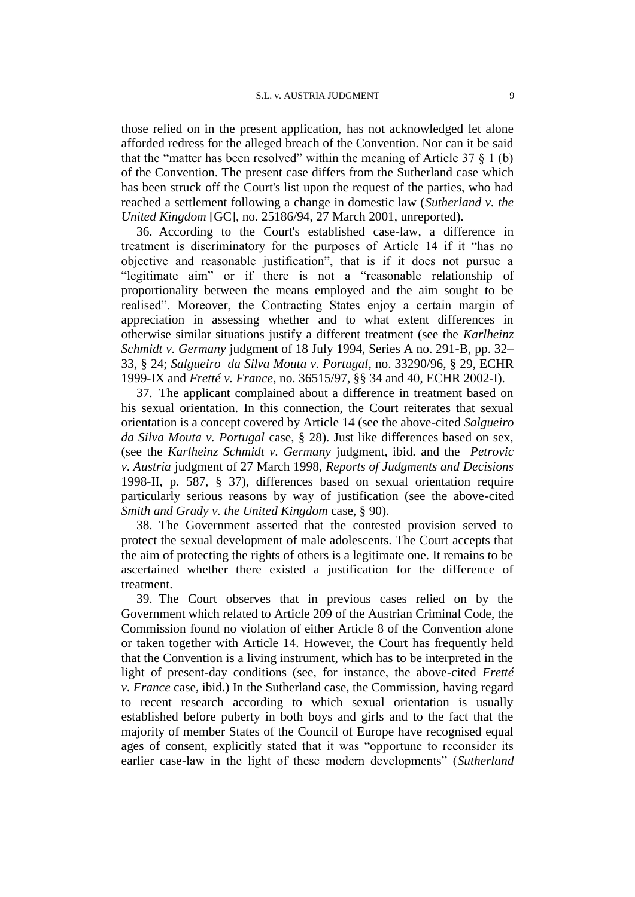those relied on in the present application, has not acknowledged let alone afforded redress for the alleged breach of the Convention. Nor can it be said that the "matter has been resolved" within the meaning of Article 37  $\S$  1 (b) of the Convention. The present case differs from the Sutherland case which has been struck off the Court's list upon the request of the parties, who had reached a settlement following a change in domestic law (*Sutherland v. the United Kingdom* [GC], no. 25186/94, 27 March 2001, unreported).

36. According to the Court's established case-law, a difference in treatment is discriminatory for the purposes of Article 14 if it "has no objective and reasonable justification", that is if it does not pursue a "legitimate aim" or if there is not a "reasonable relationship of proportionality between the means employed and the aim sought to be realised". Moreover, the Contracting States enjoy a certain margin of appreciation in assessing whether and to what extent differences in otherwise similar situations justify a different treatment (see the *Karlheinz Schmidt v. Germany* judgment of 18 July 1994, Series A no. 291-B, pp. 32– 33, § 24; *Salgueiro da Silva Mouta v. Portugal*, no. 33290/96, § 29, ECHR 1999-IX and *Fretté v. France*, no. 36515/97, §§ 34 and 40, ECHR 2002-I).

37. The applicant complained about a difference in treatment based on his sexual orientation. In this connection, the Court reiterates that sexual orientation is a concept covered by Article 14 (see the above-cited *Salgueiro da Silva Mouta v. Portugal* case, § 28). Just like differences based on sex, (see the *Karlheinz Schmidt v. Germany* judgment, ibid. and the *Petrovic v. Austria* judgment of 27 March 1998, *Reports of Judgments and Decisions* 1998-II, p. 587, § 37), differences based on sexual orientation require particularly serious reasons by way of justification (see the above-cited *Smith and Grady v. the United Kingdom* case, § 90).

38. The Government asserted that the contested provision served to protect the sexual development of male adolescents. The Court accepts that the aim of protecting the rights of others is a legitimate one. It remains to be ascertained whether there existed a justification for the difference of treatment.

39. The Court observes that in previous cases relied on by the Government which related to Article 209 of the Austrian Criminal Code, the Commission found no violation of either Article 8 of the Convention alone or taken together with Article 14. However, the Court has frequently held that the Convention is a living instrument, which has to be interpreted in the light of present-day conditions (see, for instance, the above-cited *Fretté v. France* case, ibid.) In the Sutherland case, the Commission, having regard to recent research according to which sexual orientation is usually established before puberty in both boys and girls and to the fact that the majority of member States of the Council of Europe have recognised equal ages of consent, explicitly stated that it was "opportune to reconsider its earlier case-law in the light of these modern developments" (*Sutherland*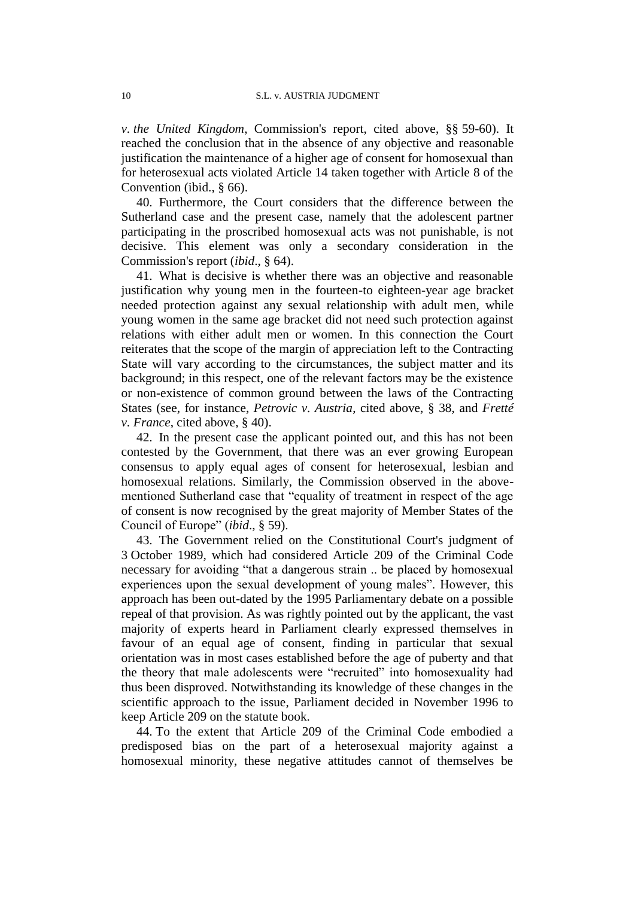*v. the United Kingdom*, Commission's report, cited above, §§ 59-60). It reached the conclusion that in the absence of any objective and reasonable justification the maintenance of a higher age of consent for homosexual than for heterosexual acts violated Article 14 taken together with Article 8 of the Convention (ibid., § 66).

40. Furthermore, the Court considers that the difference between the Sutherland case and the present case, namely that the adolescent partner participating in the proscribed homosexual acts was not punishable, is not decisive. This element was only a secondary consideration in the Commission's report (*ibid*., § 64).

41. What is decisive is whether there was an objective and reasonable justification why young men in the fourteen-to eighteen-year age bracket needed protection against any sexual relationship with adult men, while young women in the same age bracket did not need such protection against relations with either adult men or women. In this connection the Court reiterates that the scope of the margin of appreciation left to the Contracting State will vary according to the circumstances, the subject matter and its background; in this respect, one of the relevant factors may be the existence or non-existence of common ground between the laws of the Contracting States (see, for instance, *Petrovic v. Austria*, cited above, § 38, and *Fretté v. France*, cited above, § 40).

42. In the present case the applicant pointed out, and this has not been contested by the Government, that there was an ever growing European consensus to apply equal ages of consent for heterosexual, lesbian and homosexual relations. Similarly, the Commission observed in the abovementioned Sutherland case that "equality of treatment in respect of the age of consent is now recognised by the great majority of Member States of the Council of Europe" (*ibid*., § 59).

43. The Government relied on the Constitutional Court's judgment of 3 October 1989, which had considered Article 209 of the Criminal Code necessary for avoiding "that a dangerous strain .. be placed by homosexual experiences upon the sexual development of young males". However, this approach has been out-dated by the 1995 Parliamentary debate on a possible repeal of that provision. As was rightly pointed out by the applicant, the vast majority of experts heard in Parliament clearly expressed themselves in favour of an equal age of consent, finding in particular that sexual orientation was in most cases established before the age of puberty and that the theory that male adolescents were "recruited" into homosexuality had thus been disproved. Notwithstanding its knowledge of these changes in the scientific approach to the issue, Parliament decided in November 1996 to keep Article 209 on the statute book.

44. To the extent that Article 209 of the Criminal Code embodied a predisposed bias on the part of a heterosexual majority against a homosexual minority, these negative attitudes cannot of themselves be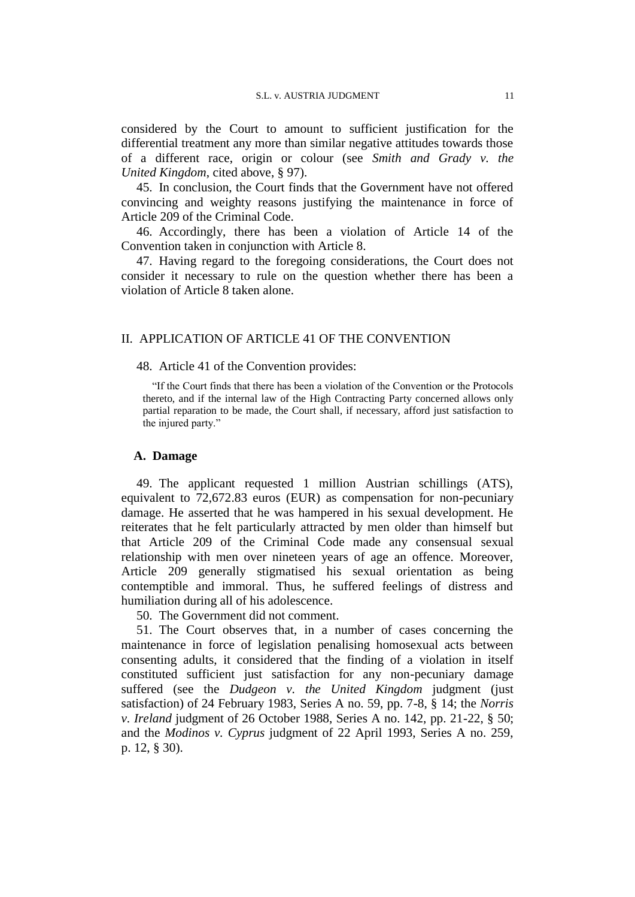considered by the Court to amount to sufficient justification for the differential treatment any more than similar negative attitudes towards those of a different race, origin or colour (see *Smith and Grady v. the United Kingdom*, cited above, § 97).

45. In conclusion, the Court finds that the Government have not offered convincing and weighty reasons justifying the maintenance in force of Article 209 of the Criminal Code.

46. Accordingly, there has been a violation of Article 14 of the Convention taken in conjunction with Article 8.

47. Having regard to the foregoing considerations, the Court does not consider it necessary to rule on the question whether there has been a violation of Article 8 taken alone.

#### II. APPLICATION OF ARTICLE 41 OF THE CONVENTION

48. Article 41 of the Convention provides:

"If the Court finds that there has been a violation of the Convention or the Protocols thereto, and if the internal law of the High Contracting Party concerned allows only partial reparation to be made, the Court shall, if necessary, afford just satisfaction to the injured party."

#### **A. Damage**

49. The applicant requested 1 million Austrian schillings (ATS), equivalent to 72,672.83 euros (EUR) as compensation for non-pecuniary damage. He asserted that he was hampered in his sexual development. He reiterates that he felt particularly attracted by men older than himself but that Article 209 of the Criminal Code made any consensual sexual relationship with men over nineteen years of age an offence. Moreover, Article 209 generally stigmatised his sexual orientation as being contemptible and immoral. Thus, he suffered feelings of distress and humiliation during all of his adolescence.

50. The Government did not comment.

51. The Court observes that, in a number of cases concerning the maintenance in force of legislation penalising homosexual acts between consenting adults, it considered that the finding of a violation in itself constituted sufficient just satisfaction for any non-pecuniary damage suffered (see the *Dudgeon v. the United Kingdom* judgment (just satisfaction) of 24 February 1983, Series A no. 59, pp. 7-8, § 14; the *Norris v. Ireland* judgment of 26 October 1988, Series A no. 142, pp. 21-22, § 50; and the *Modinos v. Cyprus* judgment of 22 April 1993, Series A no. 259, p. 12, § 30).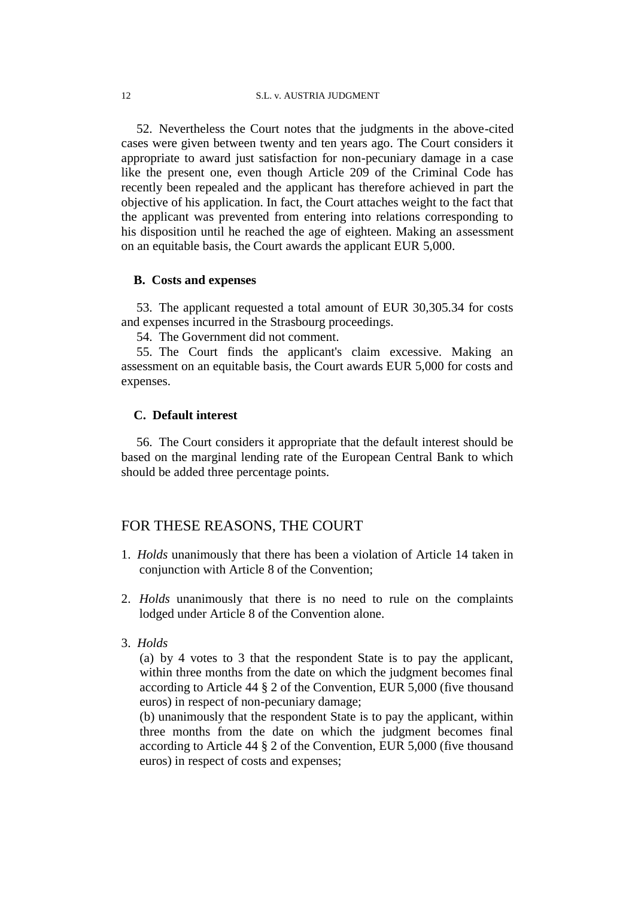52. Nevertheless the Court notes that the judgments in the above-cited cases were given between twenty and ten years ago. The Court considers it appropriate to award just satisfaction for non-pecuniary damage in a case like the present one, even though Article 209 of the Criminal Code has recently been repealed and the applicant has therefore achieved in part the objective of his application. In fact, the Court attaches weight to the fact that the applicant was prevented from entering into relations corresponding to his disposition until he reached the age of eighteen. Making an assessment on an equitable basis, the Court awards the applicant EUR 5,000.

#### **B. Costs and expenses**

53. The applicant requested a total amount of EUR 30,305.34 for costs and expenses incurred in the Strasbourg proceedings.

54. The Government did not comment.

55. The Court finds the applicant's claim excessive. Making an assessment on an equitable basis, the Court awards EUR 5,000 for costs and expenses.

#### **C. Default interest**

56. The Court considers it appropriate that the default interest should be based on the marginal lending rate of the European Central Bank to which should be added three percentage points.

## FOR THESE REASONS, THE COURT

- 1. *Holds* unanimously that there has been a violation of Article 14 taken in conjunction with Article 8 of the Convention;
- 2. *Holds* unanimously that there is no need to rule on the complaints lodged under Article 8 of the Convention alone.
- 3. *Holds*

(a) by 4 votes to 3 that the respondent State is to pay the applicant, within three months from the date on which the judgment becomes final according to Article 44 § 2 of the Convention, EUR 5,000 (five thousand euros) in respect of non-pecuniary damage;

(b) unanimously that the respondent State is to pay the applicant, within three months from the date on which the judgment becomes final according to Article 44 § 2 of the Convention, EUR 5,000 (five thousand euros) in respect of costs and expenses;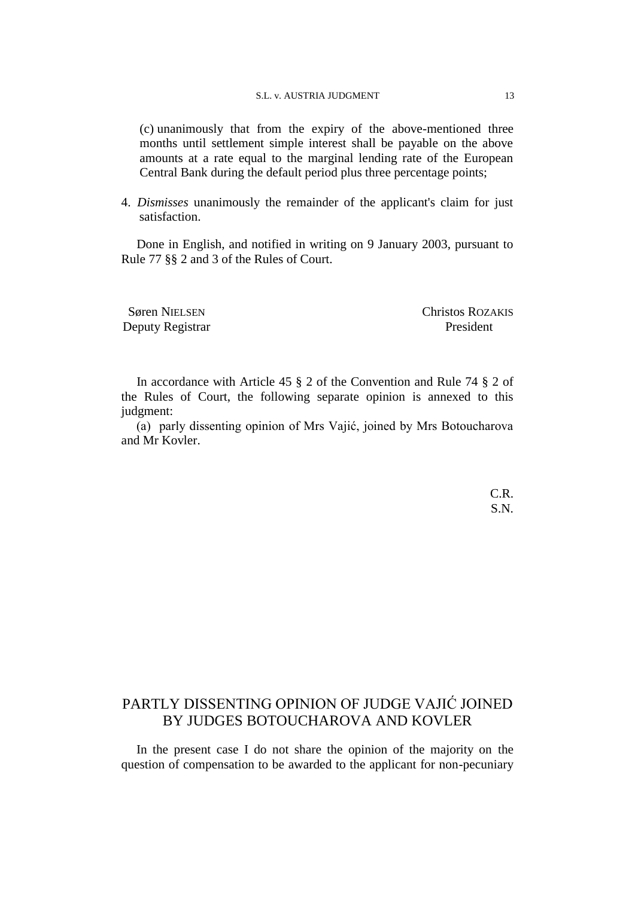#### S.L. v. AUSTRIA JUDGMENT 13

(c) unanimously that from the expiry of the above-mentioned three months until settlement simple interest shall be payable on the above amounts at a rate equal to the marginal lending rate of the European Central Bank during the default period plus three percentage points;

4. *Dismisses* unanimously the remainder of the applicant's claim for just satisfaction.

Done in English, and notified in writing on 9 January 2003, pursuant to Rule 77 §§ 2 and 3 of the Rules of Court.

Søren NIELSEN Christos ROZAKIS Deputy Registrar President

In accordance with Article 45 § 2 of the Convention and Rule 74 § 2 of the Rules of Court, the following separate opinion is annexed to this judgment:

(a) parly dissenting opinion of Mrs Vajić, joined by Mrs Botoucharova and Mr Kovler.

> C.R. S.N.

# PARTLY DISSENTING OPINION OF JUDGE VAJIĆ JOINED BY JUDGES BOTOUCHAROVA AND KOVLER

In the present case I do not share the opinion of the majority on the question of compensation to be awarded to the applicant for non-pecuniary